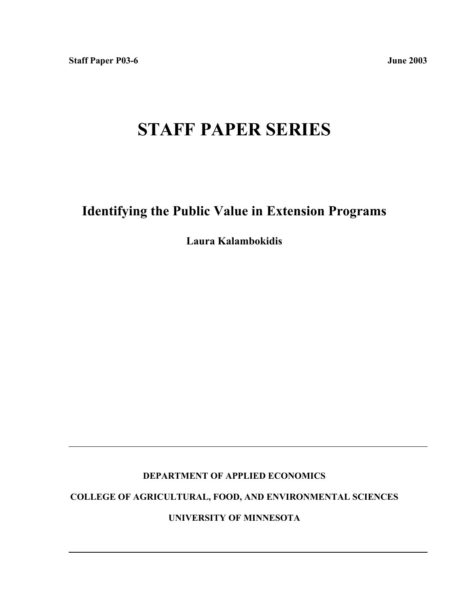# **STAFF PAPER SERIES**

# **Identifying the Public Value in Extension Programs**

**Laura Kalambokidis**

### **DEPARTMENT OF APPLIED ECONOMICS**

**COLLEGE OF AGRICULTURAL, FOOD, AND ENVIRONMENTAL SCIENCES**

**UNIVERSITY OF MINNESOTA**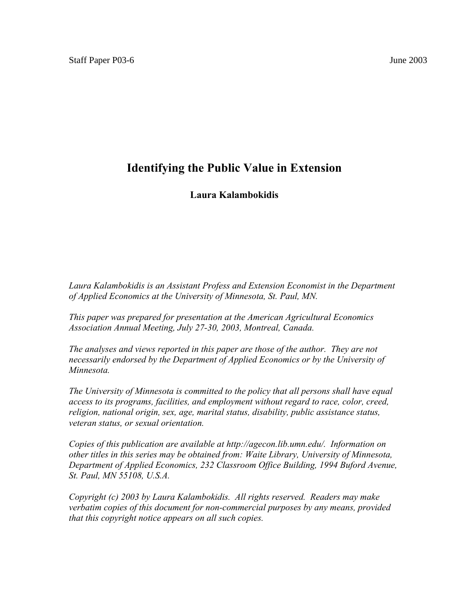# **Identifying the Public Value in Extension**

## **Laura Kalambokidis**

Laura Kalambokidis is an Assistant Profess and Extension Economist in the Department *of Applied Economics at the University of Minnesota, St. Paul, MN.*

*This paper was prepared for presentation at the American Agricultural Economics Association Annual Meeting, July 27-30, 2003, Montreal, Canada.*

*The analyses and views reported in this paper are those of the author. They are not necessarily endorsed by the Department of Applied Economics or by the University of Minnesota.*

*The University of Minnesota is committed to the policy that all persons shall have equal access to its programs, facilities, and employment without regard to race, color, creed, religion, national origin, sex, age, marital status, disability, public assistance status, veteran status, or sexual orientation.*

*Copies of this publication are available at http://agecon.lib.umn.edu/. Information on other titles in this series may be obtained from: Waite Library, University of Minnesota, Department of Applied Economics, 232 Classroom Office Building, 1994 Buford Avenue, St. Paul, MN 55108, U.S.A.*

*Copyright (c) 2003 by Laura Kalambokidis. All rights reserved. Readers may make verbatim copies of this document for non-commercial purposes by any means, provided that this copyright notice appears on all such copies.*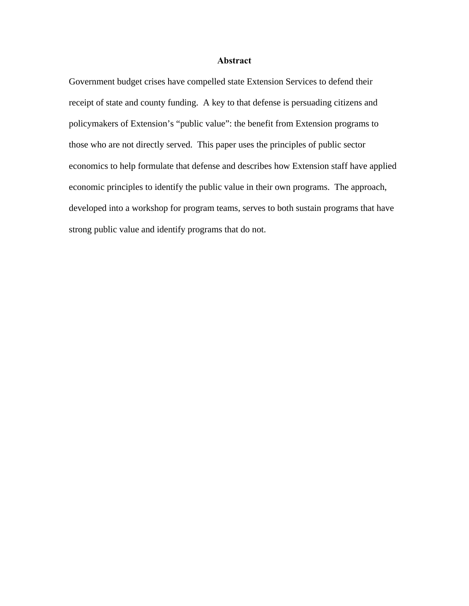#### **Abstract**

Government budget crises have compelled state Extension Services to defend their receipt of state and county funding. A key to that defense is persuading citizens and policymakers of Extension's "public value": the benefit from Extension programs to those who are not directly served. This paper uses the principles of public sector economics to help formulate that defense and describes how Extension staff have applied economic principles to identify the public value in their own programs. The approach, developed into a workshop for program teams, serves to both sustain programs that have strong public value and identify programs that do not.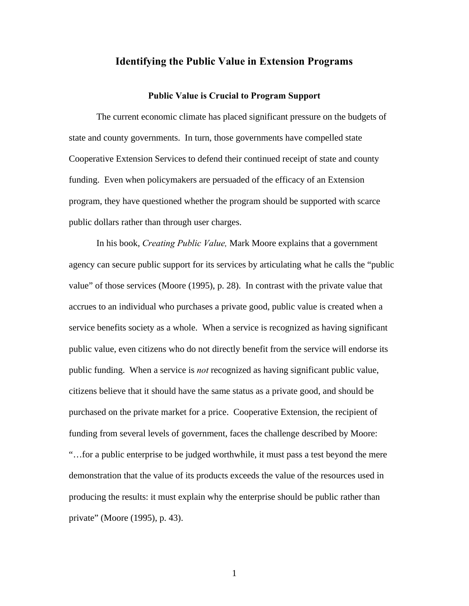#### **Identifying the Public Value in Extension Programs**

#### **Public Value is Crucial to Program Support**

The current economic climate has placed significant pressure on the budgets of state and county governments. In turn, those governments have compelled state Cooperative Extension Services to defend their continued receipt of state and county funding. Even when policymakers are persuaded of the efficacy of an Extension program, they have questioned whether the program should be supported with scarce public dollars rather than through user charges.

In his book, *Creating Public Value,* Mark Moore explains that a government agency can secure public support for its services by articulating what he calls the "public value" of those services (Moore (1995), p. 28). In contrast with the private value that accrues to an individual who purchases a private good, public value is created when a service benefits society as a whole. When a service is recognized as having significant public value, even citizens who do not directly benefit from the service will endorse its public funding. When a service is *not* recognized as having significant public value, citizens believe that it should have the same status as a private good, and should be purchased on the private market for a price. Cooperative Extension, the recipient of funding from several levels of government, faces the challenge described by Moore: "…for a public enterprise to be judged worthwhile, it must pass a test beyond the mere demonstration that the value of its products exceeds the value of the resources used in producing the results: it must explain why the enterprise should be public rather than private" (Moore (1995), p. 43).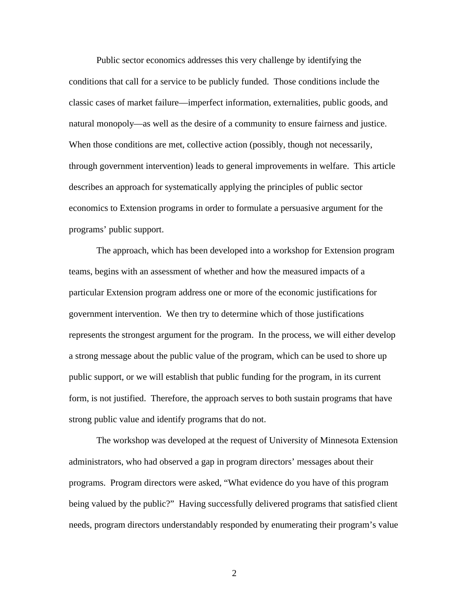Public sector economics addresses this very challenge by identifying the conditions that call for a service to be publicly funded. Those conditions include the classic cases of market failure—imperfect information, externalities, public goods, and natural monopoly—as well as the desire of a community to ensure fairness and justice. When those conditions are met, collective action (possibly, though not necessarily, through government intervention) leads to general improvements in welfare. This article describes an approach for systematically applying the principles of public sector economics to Extension programs in order to formulate a persuasive argument for the programs' public support.

The approach, which has been developed into a workshop for Extension program teams, begins with an assessment of whether and how the measured impacts of a particular Extension program address one or more of the economic justifications for government intervention. We then try to determine which of those justifications represents the strongest argument for the program. In the process, we will either develop a strong message about the public value of the program, which can be used to shore up public support, or we will establish that public funding for the program, in its current form, is not justified. Therefore, the approach serves to both sustain programs that have strong public value and identify programs that do not.

The workshop was developed at the request of University of Minnesota Extension administrators, who had observed a gap in program directors' messages about their programs. Program directors were asked, "What evidence do you have of this program being valued by the public?" Having successfully delivered programs that satisfied client needs, program directors understandably responded by enumerating their program's value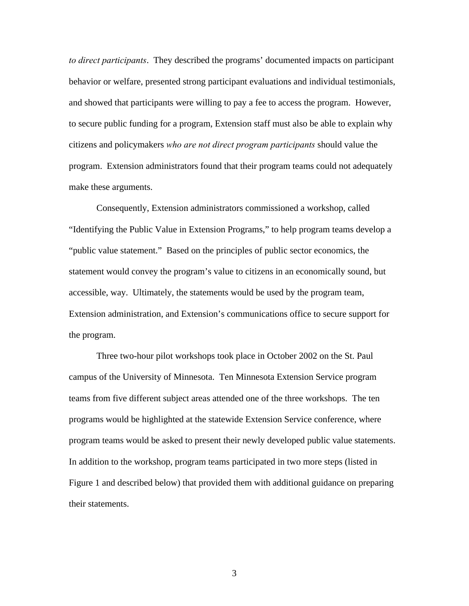*to direct participants*. They described the programs' documented impacts on participant behavior or welfare, presented strong participant evaluations and individual testimonials, and showed that participants were willing to pay a fee to access the program. However, to secure public funding for a program, Extension staff must also be able to explain why citizens and policymakers *who are not direct program participants* should value the program. Extension administrators found that their program teams could not adequately make these arguments.

Consequently, Extension administrators commissioned a workshop, called "Identifying the Public Value in Extension Programs," to help program teams develop a "public value statement." Based on the principles of public sector economics, the statement would convey the program's value to citizens in an economically sound, but accessible, way. Ultimately, the statements would be used by the program team, Extension administration, and Extension's communications office to secure support for the program.

Three two-hour pilot workshops took place in October 2002 on the St. Paul campus of the University of Minnesota. Ten Minnesota Extension Service program teams from five different subject areas attended one of the three workshops. The ten programs would be highlighted at the statewide Extension Service conference, where program teams would be asked to present their newly developed public value statements. In addition to the workshop, program teams participated in two more steps (listed in Figure 1 and described below) that provided them with additional guidance on preparing their statements.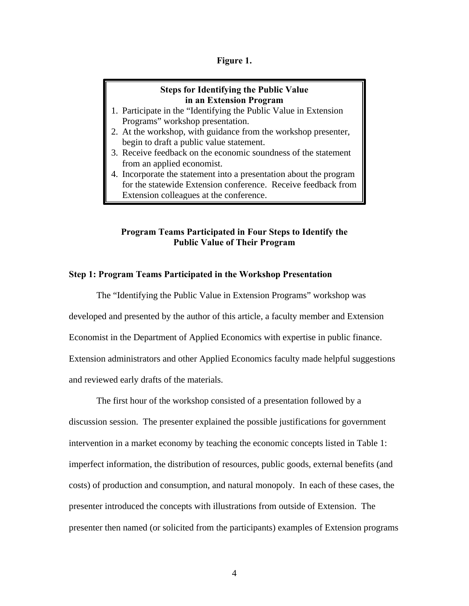#### **Figure 1.**

#### **Steps for Identifying the Public Value in an Extension Program**

- 1. Participate in the "Identifying the Public Value in Extension Programs" workshop presentation.
- 2. At the workshop, with guidance from the workshop presenter, begin to draft a public value statement.
- 3. Receive feedback on the economic soundness of the statement from an applied economist.
- 4. Incorporate the statement into a presentation about the program for the statewide Extension conference. Receive feedback from Extension colleagues at the conference.

#### **Program Teams Participated in Four Steps to Identify the Public Value of Their Program**

#### **Step 1: Program Teams Participated in the Workshop Presentation**

The "Identifying the Public Value in Extension Programs" workshop was developed and presented by the author of this article, a faculty member and Extension Economist in the Department of Applied Economics with expertise in public finance. Extension administrators and other Applied Economics faculty made helpful suggestions and reviewed early drafts of the materials.

The first hour of the workshop consisted of a presentation followed by a discussion session. The presenter explained the possible justifications for government intervention in a market economy by teaching the economic concepts listed in Table 1: imperfect information, the distribution of resources, public goods, external benefits (and costs) of production and consumption, and natural monopoly. In each of these cases, the presenter introduced the concepts with illustrations from outside of Extension. The presenter then named (or solicited from the participants) examples of Extension programs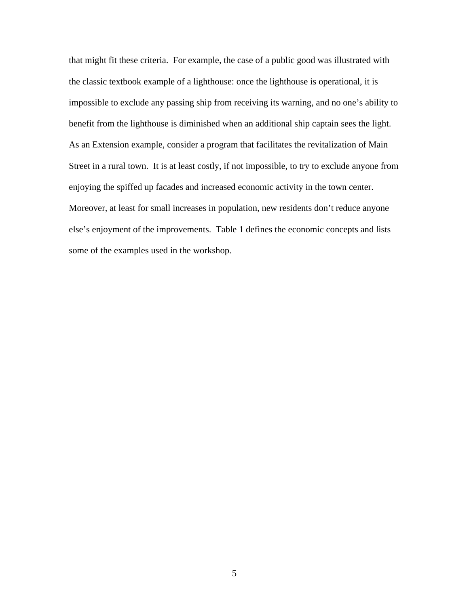that might fit these criteria. For example, the case of a public good was illustrated with the classic textbook example of a lighthouse: once the lighthouse is operational, it is impossible to exclude any passing ship from receiving its warning, and no one's ability to benefit from the lighthouse is diminished when an additional ship captain sees the light. As an Extension example, consider a program that facilitates the revitalization of Main Street in a rural town. It is at least costly, if not impossible, to try to exclude anyone from enjoying the spiffed up facades and increased economic activity in the town center. Moreover, at least for small increases in population, new residents don't reduce anyone else's enjoyment of the improvements. Table 1 defines the economic concepts and lists some of the examples used in the workshop.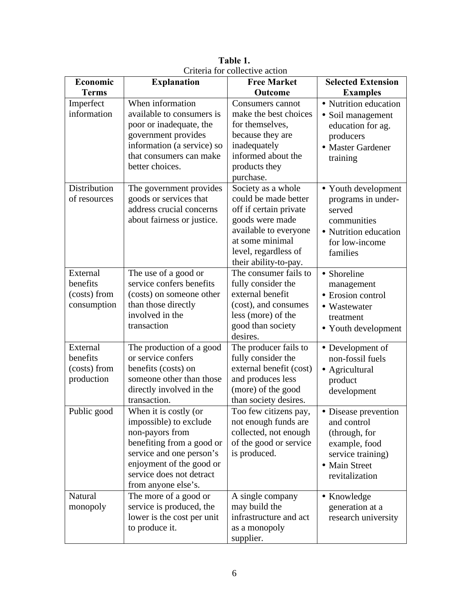| Economic                                            | <b>Explanation</b>                                                                                                                                                                                         | <b>Free Market</b>                                                                                                                                                                   | <b>Selected Extension</b>                                                                                                     |
|-----------------------------------------------------|------------------------------------------------------------------------------------------------------------------------------------------------------------------------------------------------------------|--------------------------------------------------------------------------------------------------------------------------------------------------------------------------------------|-------------------------------------------------------------------------------------------------------------------------------|
| <b>Terms</b>                                        |                                                                                                                                                                                                            | Outcome                                                                                                                                                                              | <b>Examples</b>                                                                                                               |
| Imperfect<br>information                            | When information<br>available to consumers is<br>poor or inadequate, the<br>government provides<br>information (a service) so<br>that consumers can make<br>better choices.                                | Consumers cannot<br>make the best choices<br>for themselves,<br>because they are<br>inadequately<br>informed about the<br>products they<br>purchase.                                 | • Nutrition education<br>• Soil management<br>education for ag.<br>producers<br>• Master Gardener<br>training                 |
| Distribution<br>of resources                        | The government provides<br>goods or services that<br>address crucial concerns<br>about fairness or justice.                                                                                                | Society as a whole<br>could be made better<br>off if certain private<br>goods were made<br>available to everyone<br>at some minimal<br>level, regardless of<br>their ability-to-pay. | • Youth development<br>programs in under-<br>served<br>communities<br>• Nutrition education<br>for low-income<br>families     |
| External<br>benefits<br>(costs) from<br>consumption | The use of a good or<br>service confers benefits<br>(costs) on someone other<br>than those directly<br>involved in the<br>transaction                                                                      | The consumer fails to<br>fully consider the<br>external benefit<br>(cost), and consumes<br>less (more) of the<br>good than society<br>desires.                                       | • Shoreline<br>management<br>• Erosion control<br>• Wastewater<br>treatment<br>• Youth development                            |
| External<br>benefits<br>(costs) from<br>production  | The production of a good<br>or service confers<br>benefits (costs) on<br>someone other than those<br>directly involved in the<br>transaction.                                                              | The producer fails to<br>fully consider the<br>external benefit (cost)<br>and produces less<br>(more) of the good<br>than society desires.                                           | • Development of<br>non-fossil fuels<br>• Agricultural<br>product<br>development                                              |
| Public good                                         | When it is costly (or<br>impossible) to exclude<br>non-payors from<br>benefiting from a good or<br>service and one person's<br>enjoyment of the good or<br>service does not detract<br>from anyone else's. | Too few citizens pay,<br>not enough funds are<br>collected, not enough<br>of the good or service<br>is produced.                                                                     | • Disease prevention<br>and control<br>(through, for<br>example, food<br>service training)<br>• Main Street<br>revitalization |
| Natural<br>monopoly                                 | The more of a good or<br>service is produced, the<br>lower is the cost per unit<br>to produce it.                                                                                                          | A single company<br>may build the<br>infrastructure and act<br>as a monopoly<br>supplier.                                                                                            | • Knowledge<br>generation at a<br>research university                                                                         |

**Table 1.** Criteria for collective action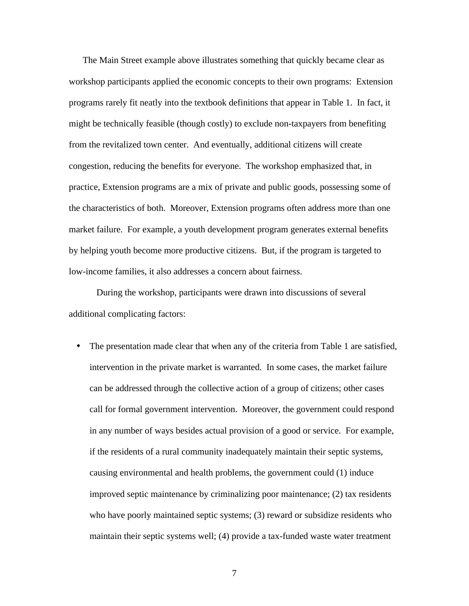The Main Street example above illustrates something that quickly became clear as workshop participants applied the economic concepts to their own programs: Extension programs rarely fit neatly into the textbook definitions that appear in Table 1. In fact, it might be technically feasible (though costly) to exclude non-taxpayers from benefiting from the revitalized town center. And eventually, additional citizens will create congestion, reducing the benefits for everyone. The workshop emphasized that, in practice, Extension programs are a mix of private and public goods, possessing some of the characteristics of both. Moreover, Extension programs often address more than one market failure. For example, a youth development program generates external benefits by helping youth become more productive citizens. But, if the program is targeted to low-income families, it also addresses a concern about fairness.

During the workshop, participants were drawn into discussions of several additional complicating factors:

• The presentation made clear that when any of the criteria from Table 1 are satisfied, intervention in the private market is warranted. In some cases, the market failure can be addressed through the collective action of a group of citizens; other cases call for formal government intervention. Moreover, the government could respond in any number of ways besides actual provision of a good or service. For example, if the residents of a rural community inadequately maintain their septic systems, causing environmental and health problems, the government could (1) induce improved septic maintenance by criminalizing poor maintenance; (2) tax residents who have poorly maintained septic systems; (3) reward or subsidize residents who maintain their septic systems well; (4) provide a tax-funded waste water treatment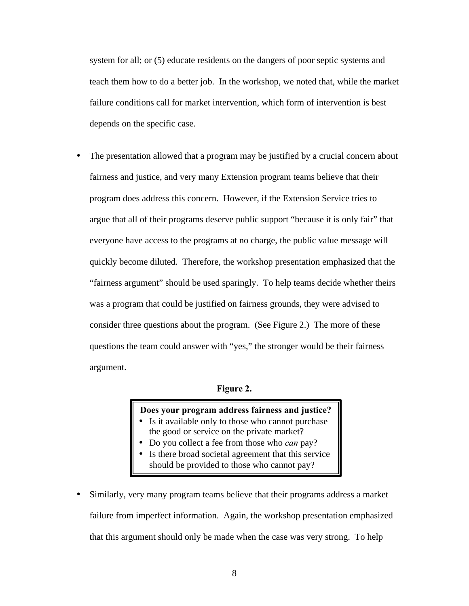system for all; or (5) educate residents on the dangers of poor septic systems and teach them how to do a better job. In the workshop, we noted that, while the market failure conditions call for market intervention, which form of intervention is best depends on the specific case.

The presentation allowed that a program may be justified by a crucial concern about fairness and justice, and very many Extension program teams believe that their program does address this concern. However, if the Extension Service tries to argue that all of their programs deserve public support "because it is only fair" that everyone have access to the programs at no charge, the public value message will quickly become diluted. Therefore, the workshop presentation emphasized that the "fairness argument" should be used sparingly. To help teams decide whether theirs was a program that could be justified on fairness grounds, they were advised to consider three questions about the program. (See Figure 2.) The more of these questions the team could answer with "yes," the stronger would be their fairness argument.

#### **Figure 2.**

#### **Does your program address fairness and justice?**

- Is it available only to those who cannot purchase the good or service on the private market?
- Do you collect a fee from those who *can* pay?
- Is there broad societal agreement that this service should be provided to those who cannot pay?
- Similarly, very many program teams believe that their programs address a market failure from imperfect information. Again, the workshop presentation emphasized that this argument should only be made when the case was very strong. To help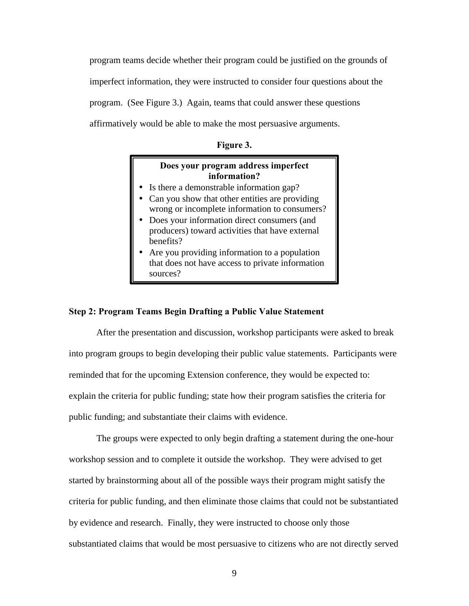program teams decide whether their program could be justified on the grounds of imperfect information, they were instructed to consider four questions about the program. (See Figure 3.) Again, teams that could answer these questions affirmatively would be able to make the most persuasive arguments.

**Figure 3.**

#### **Does your program address imperfect information?**

- Is there a demonstrable information gap?
- Can you show that other entities are providing wrong or incomplete information to consumers?
- Does your information direct consumers (and producers) toward activities that have external benefits?
- Are you providing information to a population that does not have access to private information sources?

#### **Step 2: Program Teams Begin Drafting a Public Value Statement**

After the presentation and discussion, workshop participants were asked to break into program groups to begin developing their public value statements. Participants were reminded that for the upcoming Extension conference, they would be expected to: explain the criteria for public funding; state how their program satisfies the criteria for public funding; and substantiate their claims with evidence.

The groups were expected to only begin drafting a statement during the one-hour workshop session and to complete it outside the workshop. They were advised to get started by brainstorming about all of the possible ways their program might satisfy the criteria for public funding, and then eliminate those claims that could not be substantiated by evidence and research. Finally, they were instructed to choose only those substantiated claims that would be most persuasive to citizens who are not directly served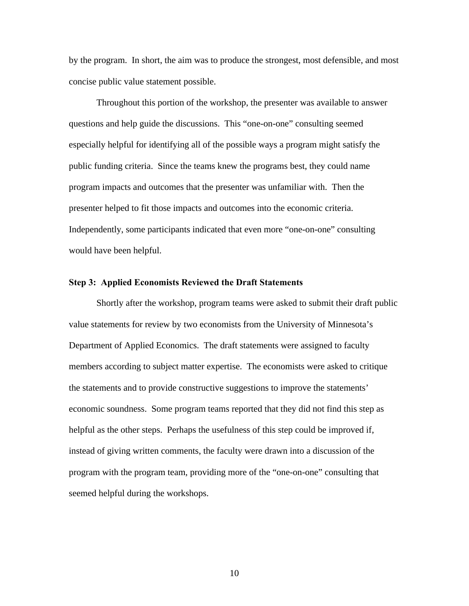by the program. In short, the aim was to produce the strongest, most defensible, and most concise public value statement possible.

Throughout this portion of the workshop, the presenter was available to answer questions and help guide the discussions. This "one-on-one" consulting seemed especially helpful for identifying all of the possible ways a program might satisfy the public funding criteria. Since the teams knew the programs best, they could name program impacts and outcomes that the presenter was unfamiliar with. Then the presenter helped to fit those impacts and outcomes into the economic criteria. Independently, some participants indicated that even more "one-on-one" consulting would have been helpful.

#### **Step 3: Applied Economists Reviewed the Draft Statements**

Shortly after the workshop, program teams were asked to submit their draft public value statements for review by two economists from the University of Minnesota's Department of Applied Economics. The draft statements were assigned to faculty members according to subject matter expertise. The economists were asked to critique the statements and to provide constructive suggestions to improve the statements' economic soundness. Some program teams reported that they did not find this step as helpful as the other steps. Perhaps the usefulness of this step could be improved if, instead of giving written comments, the faculty were drawn into a discussion of the program with the program team, providing more of the "one-on-one" consulting that seemed helpful during the workshops.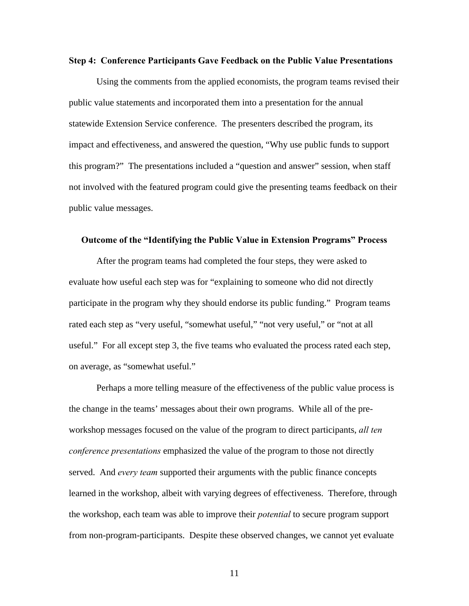#### **Step 4: Conference Participants Gave Feedback on the Public Value Presentations**

Using the comments from the applied economists, the program teams revised their public value statements and incorporated them into a presentation for the annual statewide Extension Service conference. The presenters described the program, its impact and effectiveness, and answered the question, "Why use public funds to support this program?" The presentations included a "question and answer" session, when staff not involved with the featured program could give the presenting teams feedback on their public value messages.

#### **Outcome of the "Identifying the Public Value in Extension Programs" Process**

After the program teams had completed the four steps, they were asked to evaluate how useful each step was for "explaining to someone who did not directly participate in the program why they should endorse its public funding." Program teams rated each step as "very useful, "somewhat useful," "not very useful," or "not at all useful." For all except step 3, the five teams who evaluated the process rated each step, on average, as "somewhat useful."

Perhaps a more telling measure of the effectiveness of the public value process is the change in the teams' messages about their own programs. While all of the preworkshop messages focused on the value of the program to direct participants, *all ten conference presentations* emphasized the value of the program to those not directly served. And *every team* supported their arguments with the public finance concepts learned in the workshop, albeit with varying degrees of effectiveness. Therefore, through the workshop, each team was able to improve their *potential* to secure program support from non-program-participants. Despite these observed changes, we cannot yet evaluate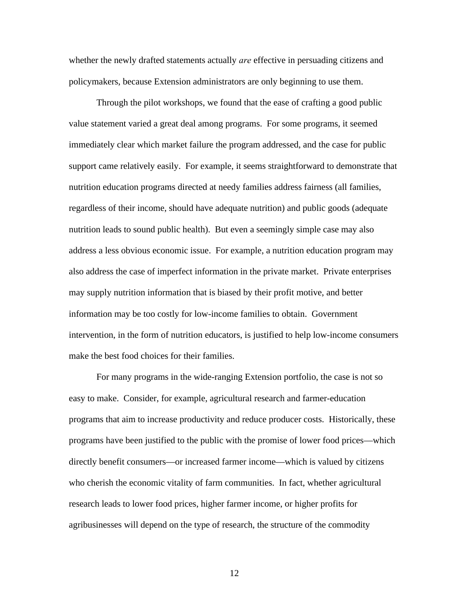whether the newly drafted statements actually *are* effective in persuading citizens and policymakers, because Extension administrators are only beginning to use them.

Through the pilot workshops, we found that the ease of crafting a good public value statement varied a great deal among programs. For some programs, it seemed immediately clear which market failure the program addressed, and the case for public support came relatively easily. For example, it seems straightforward to demonstrate that nutrition education programs directed at needy families address fairness (all families, regardless of their income, should have adequate nutrition) and public goods (adequate nutrition leads to sound public health). But even a seemingly simple case may also address a less obvious economic issue. For example, a nutrition education program may also address the case of imperfect information in the private market. Private enterprises may supply nutrition information that is biased by their profit motive, and better information may be too costly for low-income families to obtain. Government intervention, in the form of nutrition educators, is justified to help low-income consumers make the best food choices for their families.

For many programs in the wide-ranging Extension portfolio, the case is not so easy to make. Consider, for example, agricultural research and farmer-education programs that aim to increase productivity and reduce producer costs. Historically, these programs have been justified to the public with the promise of lower food prices—which directly benefit consumers—or increased farmer income—which is valued by citizens who cherish the economic vitality of farm communities. In fact, whether agricultural research leads to lower food prices, higher farmer income, or higher profits for agribusinesses will depend on the type of research, the structure of the commodity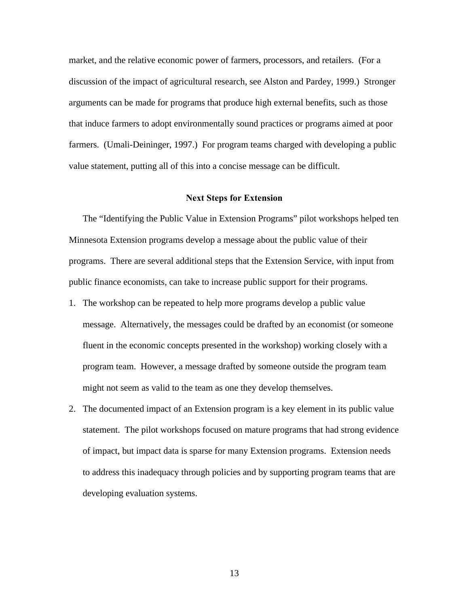market, and the relative economic power of farmers, processors, and retailers. (For a discussion of the impact of agricultural research, see Alston and Pardey, 1999.) Stronger arguments can be made for programs that produce high external benefits, such as those that induce farmers to adopt environmentally sound practices or programs aimed at poor farmers. (Umali-Deininger, 1997.) For program teams charged with developing a public value statement, putting all of this into a concise message can be difficult.

#### **Next Steps for Extension**

The "Identifying the Public Value in Extension Programs" pilot workshops helped ten Minnesota Extension programs develop a message about the public value of their programs. There are several additional steps that the Extension Service, with input from public finance economists, can take to increase public support for their programs.

- 1. The workshop can be repeated to help more programs develop a public value message. Alternatively, the messages could be drafted by an economist (or someone fluent in the economic concepts presented in the workshop) working closely with a program team. However, a message drafted by someone outside the program team might not seem as valid to the team as one they develop themselves.
- 2. The documented impact of an Extension program is a key element in its public value statement. The pilot workshops focused on mature programs that had strong evidence of impact, but impact data is sparse for many Extension programs. Extension needs to address this inadequacy through policies and by supporting program teams that are developing evaluation systems.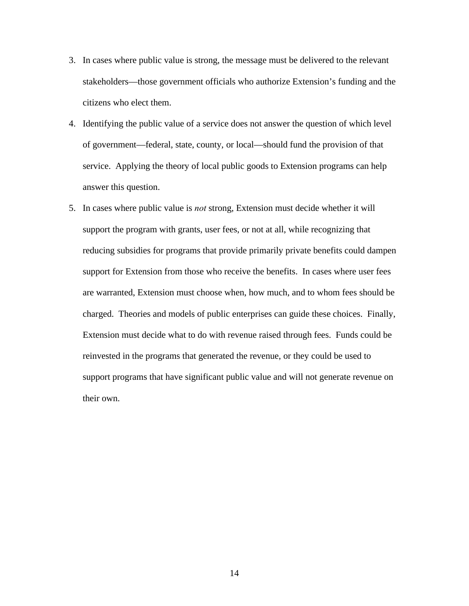- 3. In cases where public value is strong, the message must be delivered to the relevant stakeholders—those government officials who authorize Extension's funding and the citizens who elect them.
- 4. Identifying the public value of a service does not answer the question of which level of government—federal, state, county, or local—should fund the provision of that service. Applying the theory of local public goods to Extension programs can help answer this question.
- 5. In cases where public value is *not* strong, Extension must decide whether it will support the program with grants, user fees, or not at all, while recognizing that reducing subsidies for programs that provide primarily private benefits could dampen support for Extension from those who receive the benefits. In cases where user fees are warranted, Extension must choose when, how much, and to whom fees should be charged. Theories and models of public enterprises can guide these choices. Finally, Extension must decide what to do with revenue raised through fees. Funds could be reinvested in the programs that generated the revenue, or they could be used to support programs that have significant public value and will not generate revenue on their own.